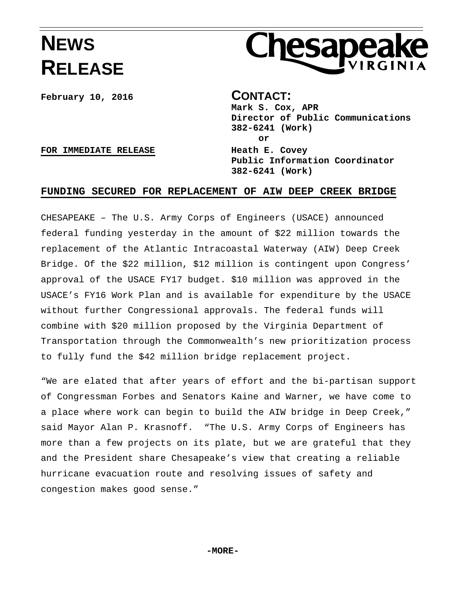## **NEWS RELEASE**



**February 10, 2016 CONTACT:** 

**Mark S. Cox, APR Director of Public Communications 382-6241 (Work) or Public Information Coordinator 382-6241 (Work)** 

**FOR IMMEDIATE RELEASE Heath E. Covey** 

## **FUNDING SECURED FOR REPLACEMENT OF AIW DEEP CREEK BRIDGE**

CHESAPEAKE – The U.S. Army Corps of Engineers (USACE) announced federal funding yesterday in the amount of \$22 million towards the replacement of the Atlantic Intracoastal Waterway (AIW) Deep Creek Bridge. Of the \$22 million, \$12 million is contingent upon Congress' approval of the USACE FY17 budget. \$10 million was approved in the USACE's FY16 Work Plan and is available for expenditure by the USACE without further Congressional approvals. The federal funds will combine with \$20 million proposed by the Virginia Department of Transportation through the Commonwealth's new prioritization process to fully fund the \$42 million bridge replacement project.

"We are elated that after years of effort and the bi-partisan support of Congressman Forbes and Senators Kaine and Warner, we have come to a place where work can begin to build the AIW bridge in Deep Creek," said Mayor Alan P. Krasnoff. "The U.S. Army Corps of Engineers has more than a few projects on its plate, but we are grateful that they and the President share Chesapeake's view that creating a reliable hurricane evacuation route and resolving issues of safety and congestion makes good sense."